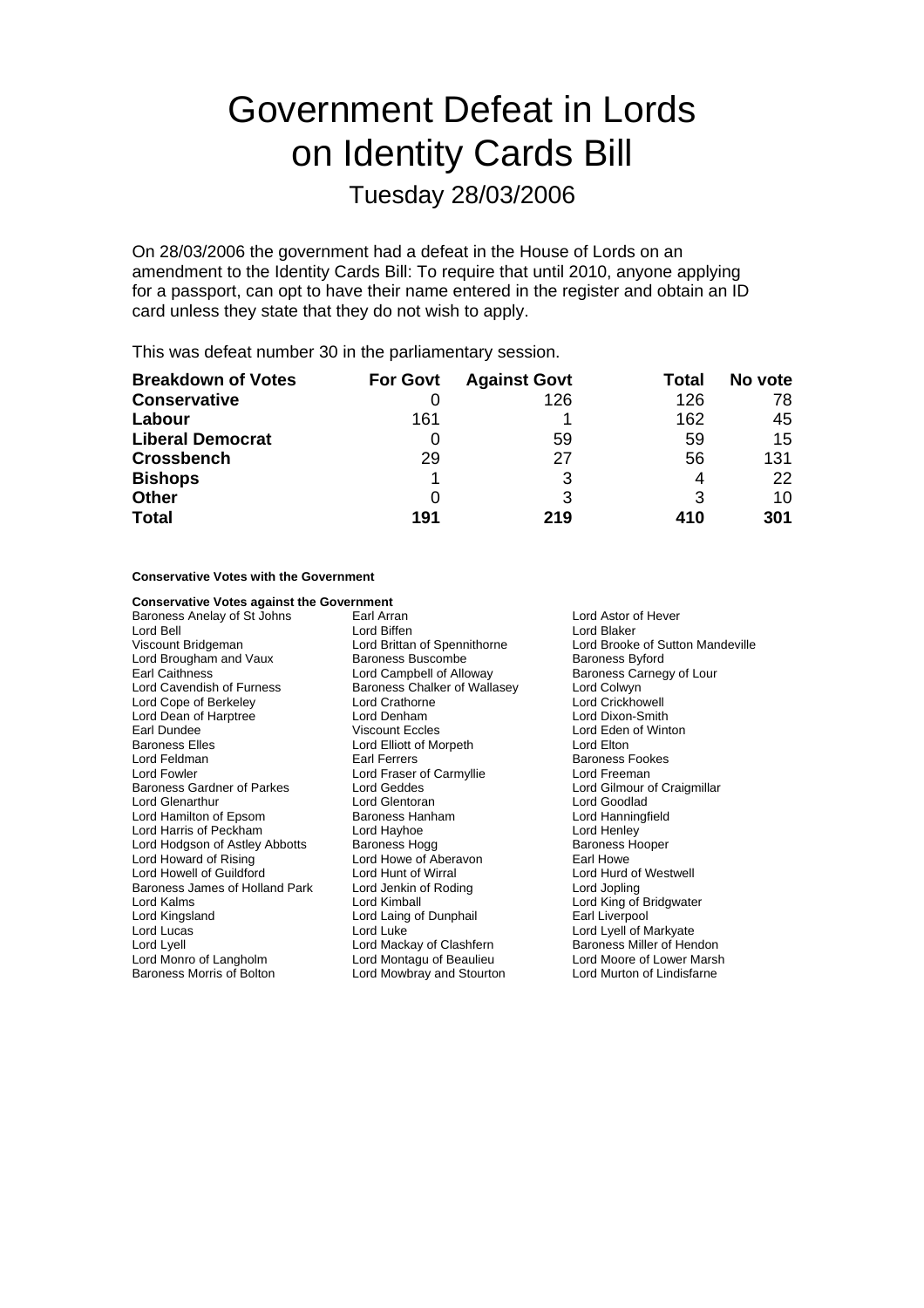# Government Defeat in Lords on Identity Cards Bill

## Tuesday 28/03/2006

On 28/03/2006 the government had a defeat in the House of Lords on an amendment to the Identity Cards Bill: To require that until 2010, anyone applying for a passport, can opt to have their name entered in the register and obtain an ID card unless they state that they do not wish to apply.

This was defeat number 30 in the parliamentary session.

| <b>Breakdown of Votes</b> | <b>For Govt</b> | <b>Against Govt</b> | Total | No vote |
|---------------------------|-----------------|---------------------|-------|---------|
| <b>Conservative</b>       |                 | 126                 | 126   | 78      |
| Labour                    | 161             |                     | 162   | 45      |
| <b>Liberal Democrat</b>   | 0               | 59                  | 59    | 15      |
| <b>Crossbench</b>         | 29              | 27                  | 56    | 131     |
| <b>Bishops</b>            |                 |                     | 4     | 22      |
| <b>Other</b>              | 0               |                     | 3     | 10      |
| <b>Total</b>              | 191             | 219                 | 410   | 301     |

### **Conservative Votes with the Government**

### **Conservative Votes against the Government**

Baroness Anelay of St Johns **Earl Arran** Earl Arran **Lord Astor of Hever** Lord Bell Lord Biffen Lord Blaker Viscount Bridgeman **Lord Brittan of Spennithorne** Lord Brooke of Sutton Mandeville<br>
Lord Brougham and Vaux **Baroness Buscombe** Baroness Byford Lord Brougham and Vaux Baroness Buscombe<br>
Earl Caithness Buscombell of Allowav Earl Caithness **Lord Campbell of Alloway** Baroness Carnegy of Lour<br>
Lord Cavendish of Furness **Baroness Chalker of Wallasey** Lord Colwyn Lord Cope of Berkeley Lord Crathorne Lord Crickhowell Lord Dean of Harptree Earl Dundee Viscount Eccles Lord Eden of Winton Baroness Elles **Lord Elliott of Morpeth**<br>
Lord Feldman **Lord Earl Ferrers** Lord Feldman **Earl Ferrers** Earl Ferrers **Baroness Fookes**<br> **Earl Ferrers** Baroness Fookes<br> **Earl Freeman** Baroness Fookes Baroness Gardner of Parkes Lord Geddes Lord Gilmour of Carl Lord Gilmour of Craigmillar Lord Gilmour Craigmill<br>
Lord Glenarthur Craigmillar Lord Gilmour of Craigmillar Lord Geodlad Lord Glenarthur **Communist Communist Communist Communist Constanting Communist Communist Communist Communist Communist Communist Communist Communist Communist Communist Communist Communist Communist Communist Communist Com** Lord Hamilton of Epsom Lord Harris of Peckham Lord Hayhoe Lord Henley Lord Hodgson of Astley Abbotts Baroness Hogg Baroness Hooper<br>
Lord Howard of Rising Baroness Hogg Baroness Hogg Baroness Hooper Lord Howell of Guildford Baroness James of Holland Park Lord Jenkin of Roding Lord Lord Jopling Lord Kalms Lord Kimball Lord King of Bridgwater Lord Lucas<br>
Lord Lyell Lord Lyell Lord Clashfern Lord Lyell of Markyate<br>
Lord Lyell Lord Mackay of Clashfern Baroness Miller of Her Lord Lyell Lord Mackay of Clashfern Baroness Miller of Hendon<br>
Lord Monro of Langholm Lord Montagu of Beaulieu Lord Moore of Lower Marsh Lord Monro of Langholm Lord Montagu of Beaulieu<br>Baroness Morris of Bolton Lord Mowbray and Stourto

**Example Baroness Chalker of Wallasey Lord Colwyn Lord Crickhowell**<br>
Lord Crathorne **Lord Crickhowell** Lord Fraser of Carmyllie Lord Freeman<br>
Lord Geddes
Lord Gilmour of Craigmillar Lord Howe of Aberavon **Earl Howe**<br>
Lord Hunt of Wirral **Condition Conditional** Lord Hurd of Westwell Lord Laing of Dunphail

Lord Mowbray and Stourton Lord Murton of Lindisfarne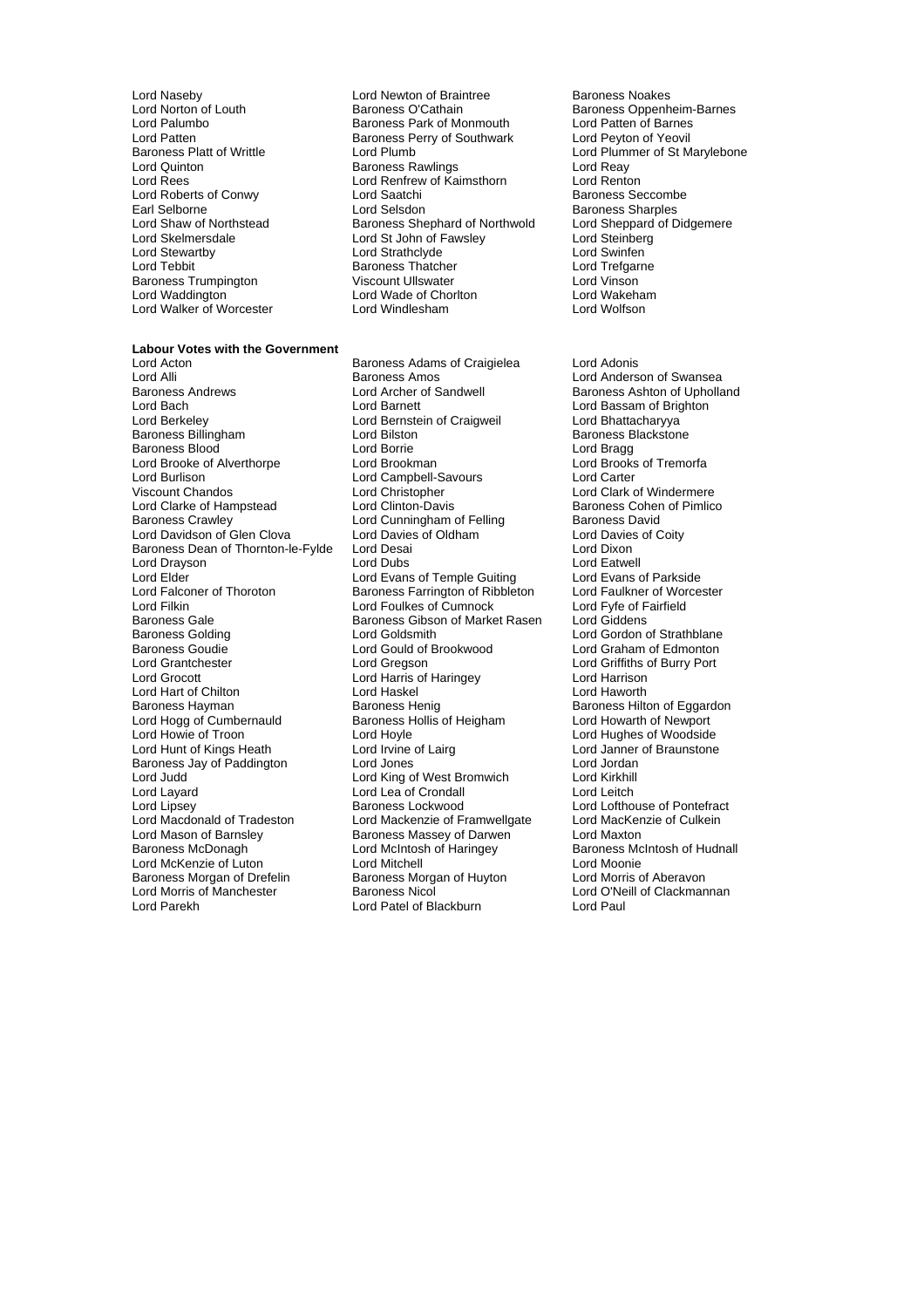- Lord Walker of Worcester
- **Labour Votes with the Government**<br>Lord Acton

Lord Alli **Communist Communist Communist Communist Communist Communist Communist Communist Communist Communist Communist Communist Communist Communist Communist Communist Communist Communist Communist Communist Communist C** Baroness Andrews **Example 2** Lord Archer of Sandwell **Baroness Ashton of Upholland**<br>
Lord Baroness Ashton of Upholland<br>
Lord Baroness Ashton of Brighton Lord Bach Lord Barnett Lord Bassam of Brighton<br>
Lord Berkeley Cord Bernstein of Craigweil Lord Bhattacharyya Baroness Billingham Lord Bilston Baroness Blackstone Baroness Blood Lord Borrie Lord Bragg Lord Brooke of Alverthorpe Lord Brookman Lord Brooks Cord Brooks Cord Brooks Cord Brooks Cord Brooks Cord Canter<br>
Lord Burlison Carter Viscount Chandos **Lord Christopher** Cord Christopher Lord Clark of Windermere<br>Lord Clarke of Hampstead Lord Clinton-Davis **Lord Clark Collact Collact Collact Collact** Baroness Cohen of Pimlico Lord Clarke of Hampstead Lord Clinton-Davis Baroness Cohen<br>Baroness Crawley Lord Cunningham of Felling Baroness David Lord Davidson of Glen Clova Baroness Dean of Thornton-le-Fylde Lord Desai Lord Dixon Lord Drayson **Lord Dubs** Lord Dubs Lord Eatwell<br>
Lord Elder Lord Evans of Temple Guiting Lord Evans of Parkside Lord Elder<br>
Lord Elder Lord Evans of Temple Guiting Lord Evans of Parkside<br>
Lord Falconer of Thoroton Baroness Farrington of Ribbleton Lord Faulkner of Worcester Lord Falconer of Thoroton Baroness Farrington of Ribbleton Lord Faulkner of Worch Lord Fulkner of Worch Lord F<br>Lord Filkin Lord Foulkes of Cumnock Lord Fyfe of Fairfield Lord Filkin Lord Foulkes of Cumnock Lord Fyfe of Fund Fyfe of Foulkes of Cumnock Lord Fyfe of F<br>Baroness Gale Corp Baroness Gibson of Market Rasen Lord Giddens Baroness Gale<br>
Baroness Golding<br>
Lord Goldsmith Baroness Goudie **Lord Gould of Brookwood** Lord Graham of Edmonton<br>
Lord Grantchester **Lord Greeson** Lord Greeson Lord Griffiths of Burry Port Lord Grantchester Lord Gregson Lord Griffiths of Burry Port Lord Hart of Chilton Lord Haskel Lord Hayorth Lord Haworth<br>Baroness Hayman Baroness Henig Baroness Hilt Lord Hogg of Cumbernauld Lord Howie of Troon **Lord Hoyle** Lord Hoyle **Lord Hughes of Woodside**<br>
Lord Hunt of Kings Heath **Lord Lord Lord Larg** Lord Janner of Braunstone Lord Hunt of Kings Heath **Lord Irvine of Lairg** Lord Jones Lord Janner of Braunstone<br>
Baroness Jay of Paddington Lord Jones Lord Jones Lord Jordan Baroness Jay of Paddington Lord Jones Cord Jordan<br>
Lord Judd Lord King of West Bromwich Lord Kirkhill Lord Judd Lord King of West Bromwich Lord Kirkhill Lord Layard Lord Lea of Crondall Lord Leitch Lord Lipsey **Baroness Lockwood** Lord Lofthouse of Pontefract<br>
Lord Macdonald of Tradeston Lord Mackenzie of Framwellgate Lord MacKenzie of Culkein Lord Macdonald of Tradeston Lord Mackenzie of Framwellgate<br>
Lord Mason of Barnsley Baroness Massey of Darwen Baroness McDonagh **Lord McIntosh of Haringey** Baroness McIntosh of Hudnall<br>
Lord McKenzie of Luton Lord Mitchell **Mitchell** Lord Moonie Lord Moonie Lord McKenzie of Luton Lord Mitchell Cord Michell Lord Moonie<br>Baroness Morgan of Drefelin Baroness Morgan of Huvton Lord Morris of Aberavon Baroness Morgan of Drefelin Baroness Morg<br>
Lord Morris of Manchester Baroness Nicol Lord Morris of Manchester **Baroness Nicol Lord Collact Lord O'Neill** of Clackmannan<br>
Lord Parekh **Lord O'Neill of Clackmannan**<br>
Lord Paul

Lord Naseby **Lord Newton of Braintree** Baroness Noakes<br>
Lord Norton of Louth **Baroness O'Cathain** Baroness Oppenh Lord Norton of Louth **Baroness O'Cathain** Baroness Oppenheim-Barnes<br>
Lord Palumbo<br>
Lord Palumbo **Barness Park of Monmouth** Lord Patten of Barnes Lord Palumbo **Baroness Park of Monmouth** Lord Patten of Barnes<br>
Lord Patten **Consumers Particular Baroness Perry of Southwark** Lord Peyton of Yeovil Lord Patten **Baroness Perry of Southwark**<br>
Baroness Platt of Writtle **Baron of Cord Plumb** Baroness Platt of Writtle **Lord Plumb** Lord Plumb Lord Plummer of St Marylebone<br>Lord Quinton Lord Plumb Baroness Rawlings Lord Reav Lord Quinton **Baroness Rawlings** Lord Reay<br>
Lord Reas **Lord Reas**<br>
Lord Renfrew of Kaimsthorn Lord Renton Lord Rees<br>
Lord Rees<br>
Lord Roberts of Conwy<br>
Lord Saatchi Lord Roberts of Conwy **Lord Saatchi** Baroness Seccombe<br>
Earl Selborne **Contract Contract Contract Contract Contract Contract Contract Contract Contract Contract Contra<br>
Baroness Sharples** Earl Selborne **Lord Selsdon** Earl Selborne Sharples<br>
Lord Shaw of Northstead Baroness Shephard of Northwold Lord Sheppard of Didgemere Lord Shaw of Northstead Baroness Shephard of Northwold Lord Sheppard<br>
Lord Skelmersdale Lord St John of Fawsley Lord Steinberg Lord Skelmersdale **Lord St John of Fawsley** Lord Steinber<br>
Lord Stewartby **Lord Strathclyde** Lord Strathclyde Lord Strathclyde Lord Swinfen Lord Stewartby Lord Strathclyde Lord Swinfen **Baroness Thatcher Lord Trefgarness Thatcher Lord Trefgarness That American**<br>Cord Vinson Baroness Trumpington Viscount Ullswater Lord Vinson Lord Waddington **Lord Wade of Chorlton** Chord Waddington Lord Wakeham<br>
Lord Walker of Worcester **Lord Windlesham** Lord Walfson

> Baroness Adams of Craigielea Lord Adonis Lord Bernstein of Craigweil Lord Bhattacharyya<br>
> Lord Bilston Baroness Blackstone Lord Campbell-Savours Lord Cunningham of Felling Baroness David<br>
> Lord Davies of Oldham Lord Davies of Coity Lord Harris of Haringey Baroness Henig<br>
> Baroness Hollis of Heigham
> Baroness Hollis of Heigham
> Lord Howarth of Newport Baroness Massey of Darwen Lord Maxton Lord Patel of Blackburn

Lord Gordon of Strathblane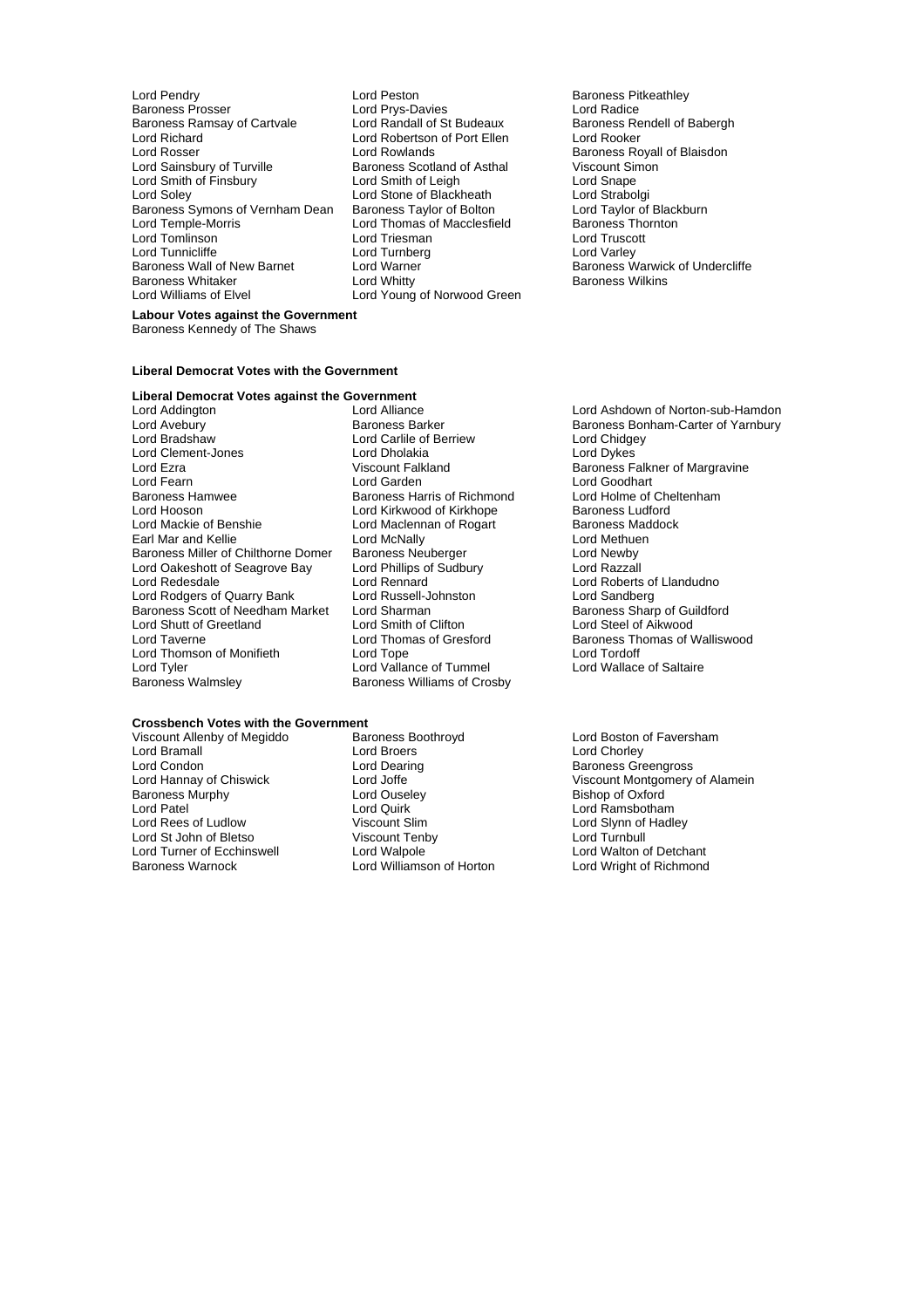- Lord Pendry **Communist Communist Communist Communist Communist Communist Communist Communist Communist Communist Communist Communist Communist Communist Communist Communist Communist Communist Communist Communist Communist** Baroness Prosser **Exercise Secure Lord Prys-Davies** Lord Radice Lord Radice<br>Baroness Ramsay of Cartvale Lord Randall of St Budeaux Baroness Rendell of Babergh Baroness Ramsay of Cartvale Lord Randall of St Budeaux Baroness Rendell ord Rocker Lord Richard Lord Robertson of Port Ellen Lord Rooker Lord Rosser **Lord Rowlands** Cord Rowlands **Baroness Royall of Blaisdon**<br>
Lord Sainsbury of Turville **Baroness Scotland of Asthal** Viscount Simon Lord Smith of Finsbury Lord Smith of Leigh Lord Snape<br>
Lord Snape Lord Snape Lord Snape Lord Stone of Blackheath Lord Strabolgi Baroness Symons of Vernham Dean Baroness Taylor of Bolton Lord Taylor of Black<br>Lord Temple-Morris Lord Thomas of Macclesfield Baroness Thornton Lord Tomlinson Lord Triesman Lord Truscott Lord Tunnicliffe Lord Turnberg<br>
Baroness Wall of New Barnet Lord Warner Baroness Whitaker Lord Williams of Elvel **Lord Young of Norwood Green** 
	- Exaroness Scotland of Asthal Viscount Simon Simon Simon Simon Simon Simon Simon Simon Simon Simon Simon Simon Simon Simon Simon Simon Simon Simon Simon Simon Simon Simon Simon Simon Simon Simon Simon Simon Simon Simon Simo Lord Stone of Blackheath Lord Strabolgi<br>
	Baroness Taylor of Bolton Lord Taylor of Blackburn Lord Thomas of Macclesfield Lord Warner The Ramend Baroness Warwick of Undercliffe<br>
	Lord Whitty The Baroness Wilkins
- 

## **Labour Votes against the Government**

Baroness Kennedy of The Shaws

#### **Liberal Democrat Votes with the Government**

#### **Liberal Democrat Votes against the Government**

- Lord Addington **Lord Alliance** Lord Ashdown of Norton-sub-Hamdon<br>
Lord Avebury **Contains Act Act Ashdown Baroness Bonnam-Carter of Yarnbury**<br>
Baroness Bonnam-Carter of Yarnbury Lord Bradshaw **Lord Carlile of Berriew** Lord Chidgey<br>
Lord Clement-Jones **Lord Chidgey** Lord Dholakia **Lord Clement-Jones** Lord Clement-Jones<br>
Lord Ezra<br>
Uiscount Falkland Lord Ezra Viscount Falkland Baroness Falkner of Margravine Baroness Hamwee **Baroness Harris of Richmond** Lord Holme of Che<br>
Lord Hooson **Baroness Ludford** Lord Kirkwood of Kirkhope **Baroness Ludford** Lord Hooson Lord Kirkwood of Kirkhope Baroness Ludford Earl Mar and Kellie **Lord McNally**<br>
Baroness Miller of Chilthorne Domer Baroness Neuberger Lord Newby Baroness Miller of Chilthorne Domer Baroness Neuberger **Lord Newby**<br>
Lord Oakeshott of Seagrove Bay Lord Phillips of Sudbury **Lord Razzall** Lord Oakeshott of Seagrove Bay Lord Phillips o<br>Lord Redesdale Lord Rennard Lord Rodgers of Quarry Bank Lord Russell-Johnston **Lord Sandberg**<br>
Baroness Scott of Needham Market Lord Sharman **Lorger Communist Constant Baroness Sharp** of Guildford Baroness Scott of Needham Market Lord Sharman Baroness Sharp of Guilding and Baroness Sharp of Guilding Lord Steel of Aikwood Lord Shutt of Greetland Lord Smith of Clifton Lord Taverne<br>
Lord Taverne Lord Thomas of Gresford Lord Taverne **Lord Thomas of Gresford** Baroness Thomas of Walliswood<br>
Lord Thomas of Monifieth Lord Tope **Baroness** Lord Tordoff Lord Thomson of Monifieth Lord Tope Lord Tope Lord Tordoff<br>
Lord Tyler Lord Vallance of Tummel Lord Vallace of Saltaire Lord Tyler Lord Vallance of Tummel<br>Baroness Walmslev **Baroness Williams of Cro** 
	- Lord Maclennan of Rogart Baroness Mac<br>Lord McNally Baroness Mac Baroness Williams of Crosby

# **Crossbench Votes with the Government**<br>Viscount Allenby of Megiddo Baroness Boothroyd

Lord Bramall **Lord Broers** Lord Broers **Lord Chorley Lord Chorley**<br>
Lord Condon **Lord Condon**<br>
Lord Condon **Lord Dearing** Baroness Gre Lord Condon **Condon Condon Lord Dearing**<br>
Lord Hannay of Chiswick **Condon Lord Joffe** Condon Lord Hannay of Chiswick **Condon Lord Joffe** Condon Lord Discount Montgomery Baroness Murphy Lord Ousel<br>
Lord Patel Cord Cuirk<br>
Lord Quirk Lord Patel **Lord Communist Communist Communist Lord Communist Communist Communist Communist Communist Communist Communist Communist Communist Communist Communist Communist Communist Communist Communist Communist Communist** Lord St John of Bletso **Viscount Tenby** Consumed Turnbull Lord Turnbull<br>
Lord Turner of Ecchinswell Lord Walbole Lord Walbole Lord Walton of Detchant Lord Turner of Ecchinswell Lord Walpole<br>
Baroness Warnock Lord Williamson of Horton

Viscount Allenby of Megiddo Baroness Boothroyd Lord Boston of Faversham Viscount Slim **Communist Communist Communist Communist Communist Communist Communist Communist Communist Communist Communist Communist Communist Communist Communist Communist Communist Communist Communist Communist Communi** 

Baroness Bonham-Carter of Yarnbury Lord Goodhart<br>Lord Holme of Cheltenham Lord Roberts of Llandudno

Lord Joffe  $\sim$  2001 - 2012 Viscount Montgomery of Alamein<br>
Lord Ouselev Chismics Bishop of Oxford Lord Wright of Richmond